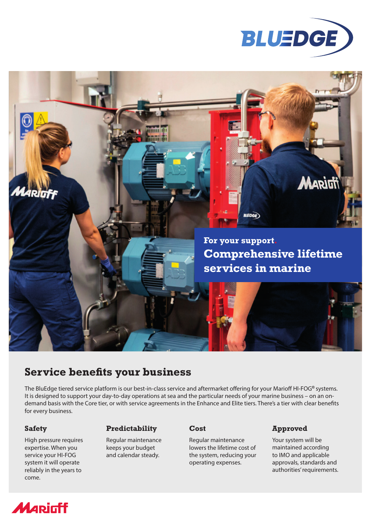



# **Service benefits your business**

The BluEdge tiered service platform is our best-in-class service and aftermarket offering for your Marioff HI-FOG**®** systems. It is designed to support your day-to-day operations at sea and the particular needs of your marine business – on an ondemand basis with the Core tier, or with service agreements in the Enhance and Elite tiers. There's a tier with clear benefits for every business.

High pressure requires expertise. When you service your HI-FOG system it will operate reliably in the years to come.

## **Safety Predictability Cost Approved**

Regular maintenance keeps your budget and calendar steady.

Regular maintenance lowers the lifetime cost of the system, reducing your operating expenses.

Your system will be maintained according to IMO and applicable approvals, standards and authorities' requirements.